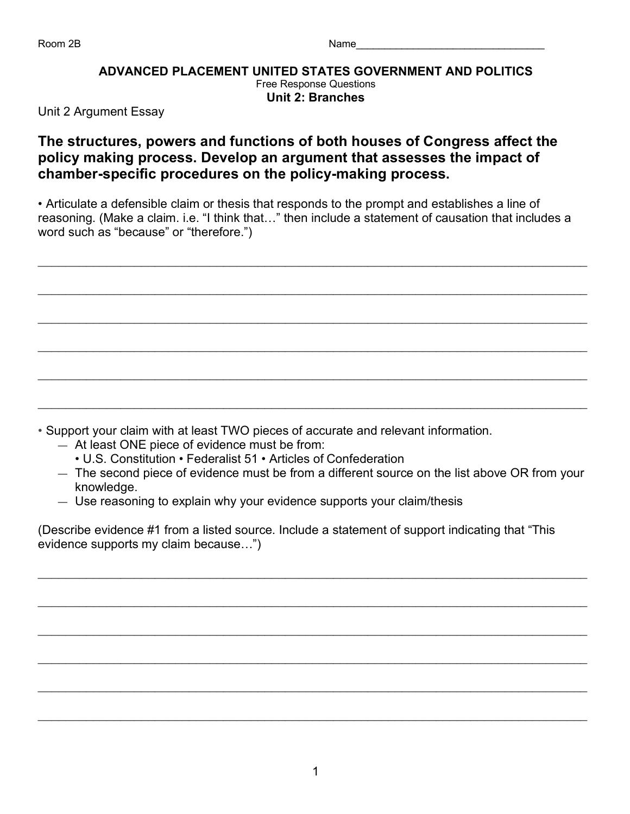## **ADVANCED PLACEMENT UNITED STATES GOVERNMENT AND POLITICS** Free Response Questions **Unit 2: Branches**

Unit 2 Argument Essay

## **The structures, powers and functions of both houses of Congress affect the policy making process. Develop an argument that assesses the impact of chamber-specific procedures on the policy-making process.**

• Articulate a defensible claim or thesis that responds to the prompt and establishes a line of reasoning. (Make a claim. i.e. "I think that…" then include a statement of causation that includes a word such as "because" or "therefore.")

 $\mathcal{L}_\mathcal{L} = \mathcal{L}_\mathcal{L} = \mathcal{L}_\mathcal{L} = \mathcal{L}_\mathcal{L} = \mathcal{L}_\mathcal{L} = \mathcal{L}_\mathcal{L} = \mathcal{L}_\mathcal{L} = \mathcal{L}_\mathcal{L} = \mathcal{L}_\mathcal{L} = \mathcal{L}_\mathcal{L} = \mathcal{L}_\mathcal{L} = \mathcal{L}_\mathcal{L} = \mathcal{L}_\mathcal{L} = \mathcal{L}_\mathcal{L} = \mathcal{L}_\mathcal{L} = \mathcal{L}_\mathcal{L} = \mathcal{L}_\mathcal{L}$ 

 $\_$  ,  $\_$  ,  $\_$  ,  $\_$  ,  $\_$  ,  $\_$  ,  $\_$  ,  $\_$  ,  $\_$  ,  $\_$  ,  $\_$  ,  $\_$  ,  $\_$  ,  $\_$  ,  $\_$  ,  $\_$  ,  $\_$  ,  $\_$  ,  $\_$  ,  $\_$  ,  $\_$  ,  $\_$  ,  $\_$  ,  $\_$  ,  $\_$  ,  $\_$  ,  $\_$  ,  $\_$  ,  $\_$  ,  $\_$  ,  $\_$  ,  $\_$  ,  $\_$  ,  $\_$  ,  $\_$  ,  $\_$  ,  $\_$  ,

 $\mathcal{L}_\mathcal{L} = \mathcal{L}_\mathcal{L} = \mathcal{L}_\mathcal{L} = \mathcal{L}_\mathcal{L} = \mathcal{L}_\mathcal{L} = \mathcal{L}_\mathcal{L} = \mathcal{L}_\mathcal{L} = \mathcal{L}_\mathcal{L} = \mathcal{L}_\mathcal{L} = \mathcal{L}_\mathcal{L} = \mathcal{L}_\mathcal{L} = \mathcal{L}_\mathcal{L} = \mathcal{L}_\mathcal{L} = \mathcal{L}_\mathcal{L} = \mathcal{L}_\mathcal{L} = \mathcal{L}_\mathcal{L} = \mathcal{L}_\mathcal{L}$ 

 $\_$  ,  $\_$  ,  $\_$  ,  $\_$  ,  $\_$  ,  $\_$  ,  $\_$  ,  $\_$  ,  $\_$  ,  $\_$  ,  $\_$  ,  $\_$  ,  $\_$  ,  $\_$  ,  $\_$  ,  $\_$  ,  $\_$  ,  $\_$  ,  $\_$  ,  $\_$  ,  $\_$  ,  $\_$  ,  $\_$  ,  $\_$  ,  $\_$  ,  $\_$  ,  $\_$  ,  $\_$  ,  $\_$  ,  $\_$  ,  $\_$  ,  $\_$  ,  $\_$  ,  $\_$  ,  $\_$  ,  $\_$  ,  $\_$  ,

 $\_$  ,  $\_$  ,  $\_$  ,  $\_$  ,  $\_$  ,  $\_$  ,  $\_$  ,  $\_$  ,  $\_$  ,  $\_$  ,  $\_$  ,  $\_$  ,  $\_$  ,  $\_$  ,  $\_$  ,  $\_$  ,  $\_$  ,  $\_$  ,  $\_$  ,  $\_$  ,  $\_$  ,  $\_$  ,  $\_$  ,  $\_$  ,  $\_$  ,  $\_$  ,  $\_$  ,  $\_$  ,  $\_$  ,  $\_$  ,  $\_$  ,  $\_$  ,  $\_$  ,  $\_$  ,  $\_$  ,  $\_$  ,  $\_$  ,

 $\mathcal{L}_\mathcal{L} = \mathcal{L}_\mathcal{L} = \mathcal{L}_\mathcal{L} = \mathcal{L}_\mathcal{L} = \mathcal{L}_\mathcal{L} = \mathcal{L}_\mathcal{L} = \mathcal{L}_\mathcal{L} = \mathcal{L}_\mathcal{L} = \mathcal{L}_\mathcal{L} = \mathcal{L}_\mathcal{L} = \mathcal{L}_\mathcal{L} = \mathcal{L}_\mathcal{L} = \mathcal{L}_\mathcal{L} = \mathcal{L}_\mathcal{L} = \mathcal{L}_\mathcal{L} = \mathcal{L}_\mathcal{L} = \mathcal{L}_\mathcal{L}$ 

• Support your claim with at least TWO pieces of accurate and relevant information.

- At least ONE piece of evidence must be from:
	- U.S. Constitution Federalist 51 Articles of Confederation
- The second piece of evidence must be from a different source on the list above OR from your knowledge.
- Use reasoning to explain why your evidence supports your claim/thesis

(Describe evidence #1 from a listed source. Include a statement of support indicating that "This evidence supports my claim because…")

 $\_$  ,  $\_$  ,  $\_$  ,  $\_$  ,  $\_$  ,  $\_$  ,  $\_$  ,  $\_$  ,  $\_$  ,  $\_$  ,  $\_$  ,  $\_$  ,  $\_$  ,  $\_$  ,  $\_$  ,  $\_$  ,  $\_$  ,  $\_$  ,  $\_$  ,  $\_$  ,  $\_$  ,  $\_$  ,  $\_$  ,  $\_$  ,  $\_$  ,  $\_$  ,  $\_$  ,  $\_$  ,  $\_$  ,  $\_$  ,  $\_$  ,  $\_$  ,  $\_$  ,  $\_$  ,  $\_$  ,  $\_$  ,  $\_$  ,

 $\mathcal{L}_\mathcal{L} = \mathcal{L}_\mathcal{L} = \mathcal{L}_\mathcal{L} = \mathcal{L}_\mathcal{L} = \mathcal{L}_\mathcal{L} = \mathcal{L}_\mathcal{L} = \mathcal{L}_\mathcal{L} = \mathcal{L}_\mathcal{L} = \mathcal{L}_\mathcal{L} = \mathcal{L}_\mathcal{L} = \mathcal{L}_\mathcal{L} = \mathcal{L}_\mathcal{L} = \mathcal{L}_\mathcal{L} = \mathcal{L}_\mathcal{L} = \mathcal{L}_\mathcal{L} = \mathcal{L}_\mathcal{L} = \mathcal{L}_\mathcal{L}$ 

 $\_$  ,  $\_$  ,  $\_$  ,  $\_$  ,  $\_$  ,  $\_$  ,  $\_$  ,  $\_$  ,  $\_$  ,  $\_$  ,  $\_$  ,  $\_$  ,  $\_$  ,  $\_$  ,  $\_$  ,  $\_$  ,  $\_$  ,  $\_$  ,  $\_$  ,  $\_$  ,  $\_$  ,  $\_$  ,  $\_$  ,  $\_$  ,  $\_$  ,  $\_$  ,  $\_$  ,  $\_$  ,  $\_$  ,  $\_$  ,  $\_$  ,  $\_$  ,  $\_$  ,  $\_$  ,  $\_$  ,  $\_$  ,  $\_$  ,

 $\_$  ,  $\_$  ,  $\_$  ,  $\_$  ,  $\_$  ,  $\_$  ,  $\_$  ,  $\_$  ,  $\_$  ,  $\_$  ,  $\_$  ,  $\_$  ,  $\_$  ,  $\_$  ,  $\_$  ,  $\_$  ,  $\_$  ,  $\_$  ,  $\_$  ,  $\_$  ,  $\_$  ,  $\_$  ,  $\_$  ,  $\_$  ,  $\_$  ,  $\_$  ,  $\_$  ,  $\_$  ,  $\_$  ,  $\_$  ,  $\_$  ,  $\_$  ,  $\_$  ,  $\_$  ,  $\_$  ,  $\_$  ,  $\_$  ,

 $\mathcal{L}_\mathcal{L} = \mathcal{L}_\mathcal{L} = \mathcal{L}_\mathcal{L} = \mathcal{L}_\mathcal{L} = \mathcal{L}_\mathcal{L} = \mathcal{L}_\mathcal{L} = \mathcal{L}_\mathcal{L} = \mathcal{L}_\mathcal{L} = \mathcal{L}_\mathcal{L} = \mathcal{L}_\mathcal{L} = \mathcal{L}_\mathcal{L} = \mathcal{L}_\mathcal{L} = \mathcal{L}_\mathcal{L} = \mathcal{L}_\mathcal{L} = \mathcal{L}_\mathcal{L} = \mathcal{L}_\mathcal{L} = \mathcal{L}_\mathcal{L}$ 

 $\_$  ,  $\_$  ,  $\_$  ,  $\_$  ,  $\_$  ,  $\_$  ,  $\_$  ,  $\_$  ,  $\_$  ,  $\_$  ,  $\_$  ,  $\_$  ,  $\_$  ,  $\_$  ,  $\_$  ,  $\_$  ,  $\_$  ,  $\_$  ,  $\_$  ,  $\_$  ,  $\_$  ,  $\_$  ,  $\_$  ,  $\_$  ,  $\_$  ,  $\_$  ,  $\_$  ,  $\_$  ,  $\_$  ,  $\_$  ,  $\_$  ,  $\_$  ,  $\_$  ,  $\_$  ,  $\_$  ,  $\_$  ,  $\_$  ,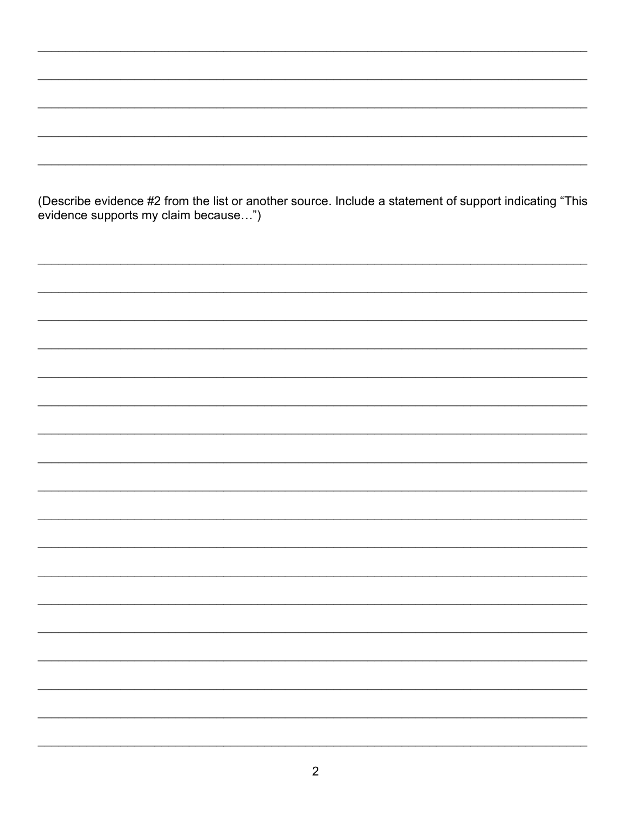(Describe evidence #2 from the list or another source. Include a statement of support indicating "This evidence supports my claim because...")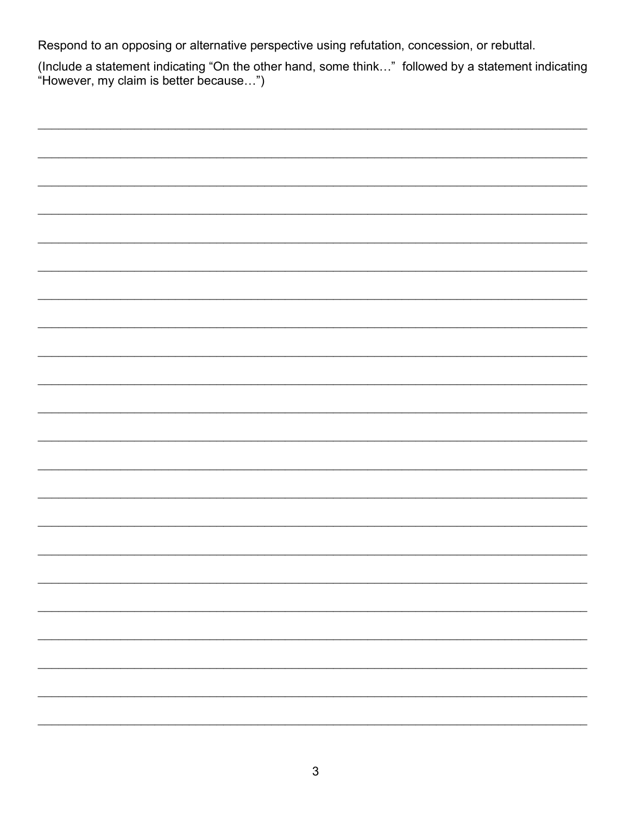Respond to an opposing or alternative perspective using refutation, concession, or rebuttal.

(Include a statement indicating "On the other hand, some think..." followed by a statement indicating "However, my claim is better because...")

| - |
|---|
|   |
| - |
|   |
|   |
|   |
|   |
|   |
|   |
|   |